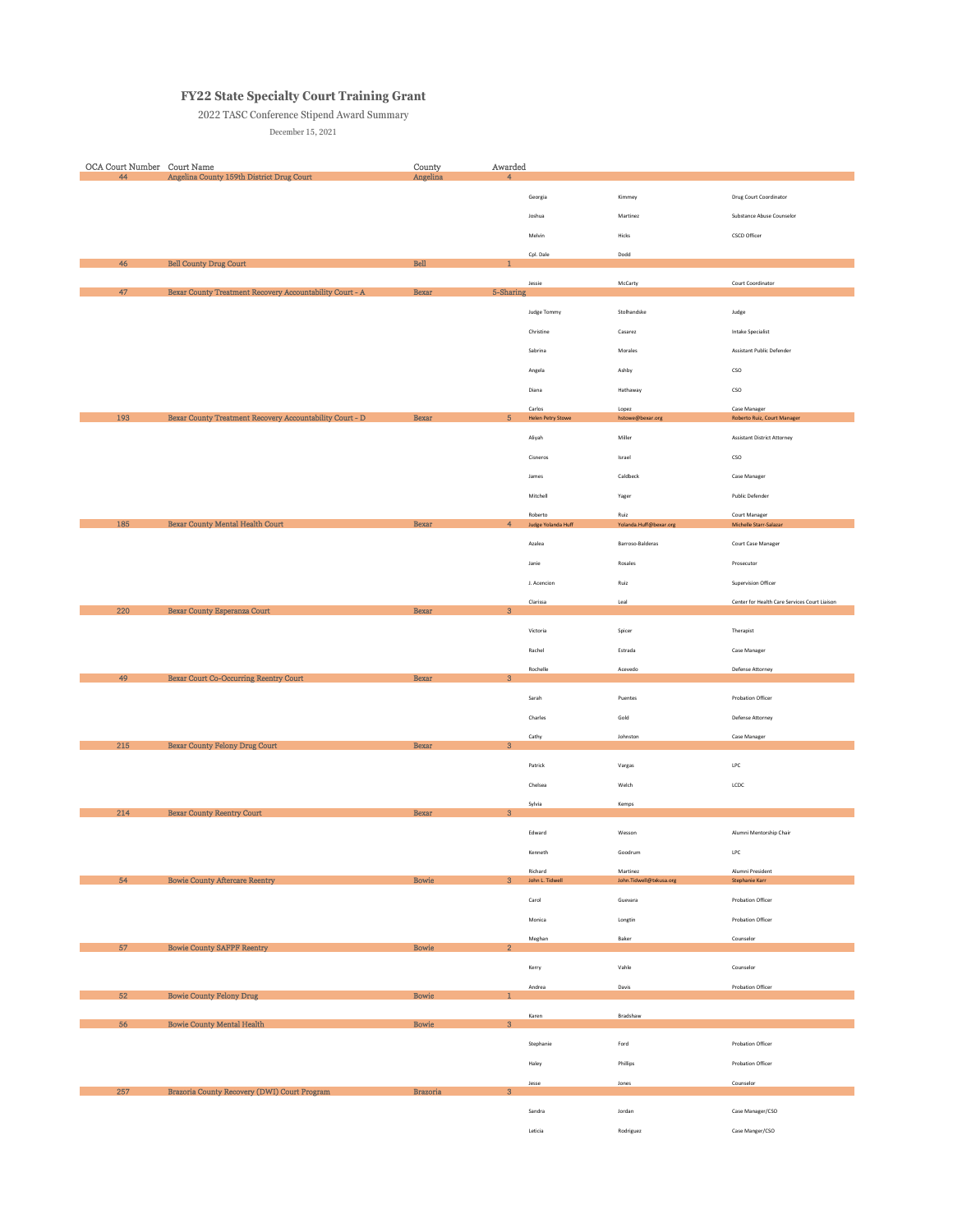## **FY22 State Specialty Court Training Grant**

## 2022 TASC Conference Stipend Award Summary

December 15, 2021

| OCA Court Number Court Name<br>44 | Angelina County 159th District Drug Court                | County<br>Angelina | Awarded<br>$\overline{4}$ |                                    |                           |                                               |
|-----------------------------------|----------------------------------------------------------|--------------------|---------------------------|------------------------------------|---------------------------|-----------------------------------------------|
|                                   |                                                          |                    |                           |                                    | Kimmey                    |                                               |
|                                   |                                                          |                    |                           | Georgia                            |                           | Drug Court Coordinator                        |
|                                   |                                                          |                    |                           | Joshua                             | Martinez                  | Substance Abuse Counselor                     |
|                                   |                                                          |                    |                           | Melvin                             | ${\sf Hicks}$             | CSCD Officer                                  |
| 46                                | <b>Bell County Drug Court</b>                            | Bell               |                           | Cpl. Dale                          | Dodd                      |                                               |
|                                   |                                                          |                    |                           | Jessie                             | McCarty                   | Court Coordinator                             |
| 47                                | Bexar County Treatment Recovery Accountability Court - A | <b>Bexar</b>       | 5-Sharing                 |                                    |                           |                                               |
|                                   |                                                          |                    |                           | Judge Tommy                        | Stolhandske               | Judge                                         |
|                                   |                                                          |                    |                           | Christine                          | Casarez                   | <b>Intake Specialist</b>                      |
|                                   |                                                          |                    |                           | Sabrina                            | Morales                   | Assistant Public Defender                     |
|                                   |                                                          |                    |                           | Angela                             | Ashby                     | $_{\mathsf{CSO}}$                             |
|                                   |                                                          |                    |                           | Diana                              | Hathaway                  | $_{\mathsf{CSO}}$                             |
| 193                               | Bexar County Treatment Recovery Accountability Court - D | <b>Bexar</b>       | $\sqrt{5}$                | Carlos<br><b>Helen Petry Stowe</b> | Lopez<br>hstowe@bexar.org | Case Manager<br>Roberto Ruiz, Court Manager   |
|                                   |                                                          |                    |                           | Aliyah                             | Miller                    | <b>Assistant District Attorney</b>            |
|                                   |                                                          |                    |                           | Cisneros                           | Israel                    | $_{\mathsf{CSO}}$                             |
|                                   |                                                          |                    |                           | James                              | Caldbeck                  | Case Manager                                  |
|                                   |                                                          |                    |                           | Mitchell                           |                           | Public Defender                               |
|                                   |                                                          |                    |                           |                                    | Yager<br>Ruiz             |                                               |
| 185                               | Bexar County Mental Health Court                         | Bexar              | $\overline{4}$            | Roberto<br>Judge Yolanda Huff      | Yolanda.Huff@bexar.org    | Court Manager<br>Michelle Starr-Salazar       |
|                                   |                                                          |                    |                           | Azalea                             | Barroso-Balderas          | Court Case Manager                            |
|                                   |                                                          |                    |                           | Janie                              | Rosales                   | Prosecutor                                    |
|                                   |                                                          |                    |                           | J. Acencion                        | Ruiz                      | Supervision Officer                           |
|                                   |                                                          |                    |                           | Clarissa                           | Leal                      | Center for Health Care Services Court Liaison |
| 220                               | Bexar County Esperanza Court                             | Bexar              | $\bf{3}$                  |                                    |                           |                                               |
|                                   |                                                          |                    |                           | Victoria                           | Spicer                    | Therapist                                     |
|                                   |                                                          |                    |                           | Rachel                             | Estrada                   | Case Manager                                  |
| 49                                | Bexar Court Co-Occurring Reentry Court                   | <b>Bexar</b>       | $\bf 3$                   | Rochelle                           | Acevedo                   | Defense Attorney                              |
|                                   |                                                          |                    |                           | Sarah                              | Puentes                   | Probation Officer                             |
|                                   |                                                          |                    |                           | Charles                            | Gold                      | Defense Attorney                              |
|                                   |                                                          |                    |                           | Cathy                              | Johnston                  | Case Manager                                  |
| 215                               | Bexar County Felony Drug Court                           | Bexar              | $\mathbf{3}$              |                                    |                           |                                               |
|                                   |                                                          |                    |                           | Patrick                            | Vargas                    | $\mathsf{LPC}$                                |
|                                   |                                                          |                    |                           | Chelsea                            | Welch                     | LCDC                                          |
| 214                               | <b>Bexar County Reentry Court</b>                        | Bexar              | $\mathbf{3}$              | Sylvia                             | Kemps                     |                                               |
|                                   |                                                          |                    |                           | Edward                             | Wesson                    | Alumni Mentorship Chair                       |
|                                   |                                                          |                    |                           | Kenneth                            | Goodrum                   | LPC                                           |
|                                   |                                                          |                    |                           | Richard                            | Martinez                  | Alumni President                              |
| 54                                | <b>Bowie County Aftercare Reentry</b>                    | Bowie              | $\mathbf{3}$              | John L. Tidwell                    | John.Tidwell@txkusa.org   | Stephanie Karr                                |
|                                   |                                                          |                    |                           | Carol                              | Guevara                   | Probation Officer                             |
|                                   |                                                          |                    |                           | Monica                             | Longtin                   | Probation Officer                             |
| 57                                | <b>Bowie County SAFPF Reentry</b>                        | Bowie              | $\overline{2}$            | Meghan                             | Baker                     | Counselor                                     |
|                                   |                                                          |                    |                           | Kerry                              | Vahle                     | Counselor                                     |
|                                   |                                                          |                    |                           | Andrea                             | Davis                     | Probation Officer                             |
| 52                                | <b>Bowie County Felony Drug</b>                          | Bowie              | $\mathbf{1}$              |                                    |                           |                                               |
| 56                                | <b>Bowie County Mental Health</b>                        | Bowie              | $\sqrt{3}$                | Karen                              | Bradshaw                  |                                               |
|                                   |                                                          |                    |                           | Stephanie                          | Ford                      | Probation Officer                             |
|                                   |                                                          |                    |                           | Haley                              | Phillips                  | Probation Officer                             |
|                                   |                                                          |                    |                           | Jesse                              | Jones                     | Counselor                                     |
| 257                               | Brazoria County Recovery (DWI) Court Program             | <b>Brazoria</b>    | $\mathbf{3}$              |                                    |                           |                                               |
|                                   |                                                          |                    |                           | Sandra                             | Jordan                    | Case Manager/CSO                              |
|                                   |                                                          |                    |                           | Leticia                            | Rodriguez                 | Case Manger/CSO                               |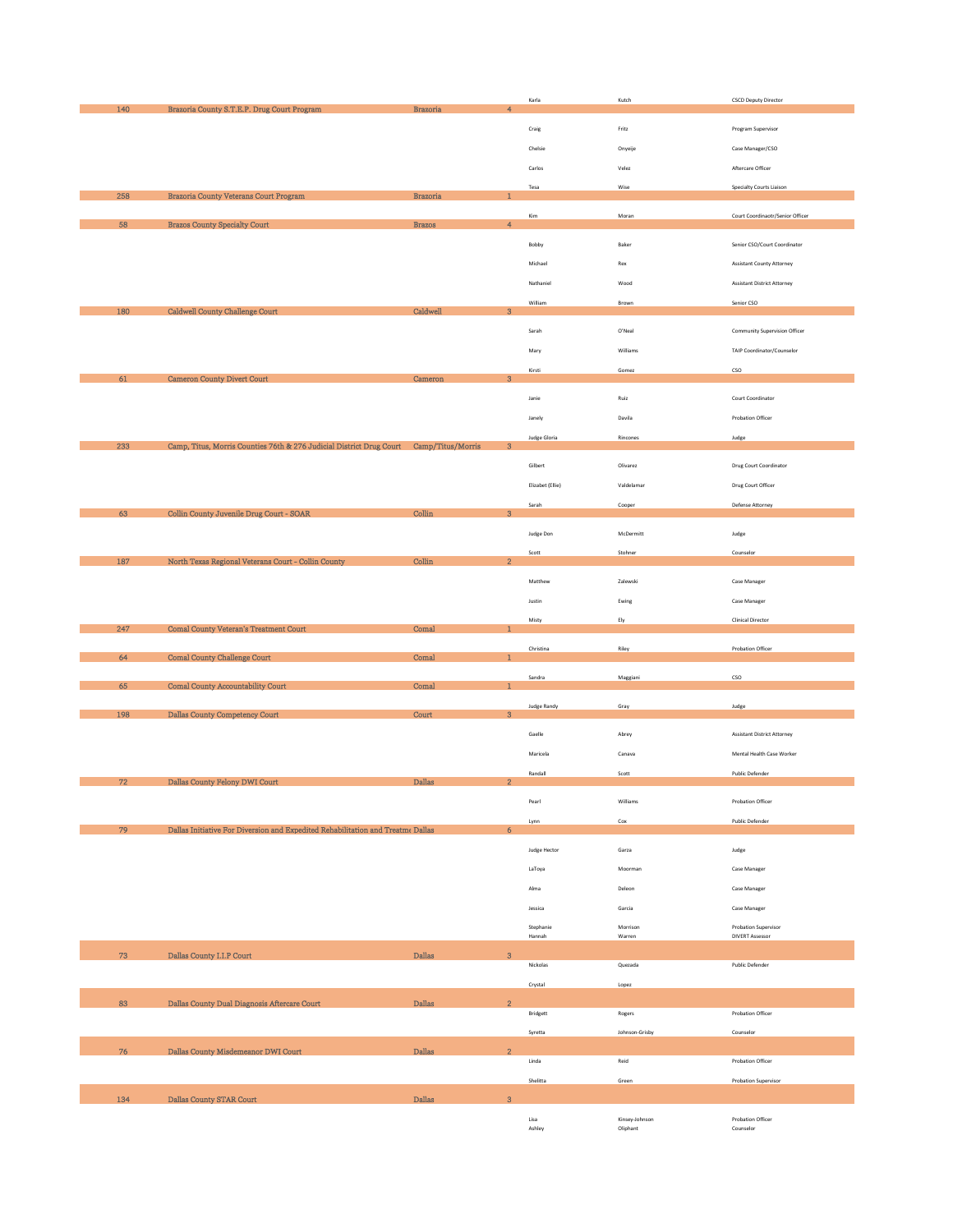|     |                                                                                        |                                           | Karla              | Kutch                      | <b>CSCD Deputy Director</b>        |
|-----|----------------------------------------------------------------------------------------|-------------------------------------------|--------------------|----------------------------|------------------------------------|
| 140 | Brazoria County S.T.E.P. Drug Court Program                                            | <b>Brazoria</b><br>$\overline{4}$         |                    |                            |                                    |
|     |                                                                                        |                                           | Craig              | Fritz                      | Program Supervisor                 |
|     |                                                                                        |                                           | Chelsie            | Onyeije                    | Case Manager/CSO                   |
|     |                                                                                        |                                           | Carlos             | Velez                      | Aftercare Officer                  |
|     |                                                                                        |                                           |                    |                            |                                    |
| 258 | Brazoria County Veterans Court Program                                                 | <b>Brazoria</b>                           | Tesa               | Wise                       | Specialty Courts Liaison           |
|     |                                                                                        |                                           | Kim                | Moran                      | Court Coordinaotr/Senior Officer   |
| 58  | <b>Brazos County Specialty Court</b>                                                   | <b>Brazos</b><br>$\overline{4}$           |                    |                            |                                    |
|     |                                                                                        |                                           | Bobby              | Baker                      | Senior CSO/Court Coordinator       |
|     |                                                                                        |                                           |                    |                            |                                    |
|     |                                                                                        |                                           | Michael            | Rex                        | <b>Assistant County Attorney</b>   |
|     |                                                                                        |                                           | Nathaniel          | Wood                       | Assistant District Attorney        |
|     |                                                                                        |                                           | William            | Brown                      | Senior CSO                         |
| 180 | Caldwell County Challenge Court                                                        | Caldwell<br>$\ensuremath{\mathbf{3}}$     |                    |                            |                                    |
|     |                                                                                        |                                           | Sarah              | O'Neal                     | Community Supervision Officer      |
|     |                                                                                        |                                           | Mary               | Williams                   | TAIP Coordinator/Counselor         |
|     |                                                                                        |                                           | Kirsti             | Gomez                      | $\mathsf{cso}$                     |
| 61  | <b>Cameron County Divert Court</b>                                                     | $\bf{3}$<br>Cameron                       |                    |                            |                                    |
|     |                                                                                        |                                           | Janie              | Ruiz                       | Court Coordinator                  |
|     |                                                                                        |                                           |                    |                            |                                    |
|     |                                                                                        |                                           | Janely             | Davila                     | Probation Officer                  |
| 233 | Camp, Titus, Morris Counties 76th & 276 Judicial District Drug Court Camp/Titus/Morris | $\bf{3}$                                  | Judge Gloria       | Rincones                   | Judge                              |
|     |                                                                                        |                                           |                    |                            |                                    |
|     |                                                                                        |                                           | Gilbert            | Olivarez                   | Drug Court Coordinator             |
|     |                                                                                        |                                           | Elizabet (Ellie)   | Valdelamar                 | Drug Court Officer                 |
|     |                                                                                        |                                           | Sarah              | Cooper                     | Defense Attorney                   |
| 63  | Collin County Juvenile Drug Court - SOAR                                               | $\operatorname{Collin}$<br>$\bf{3}$       |                    |                            |                                    |
|     |                                                                                        |                                           | Judge Don          | McDermitt                  | Judge                              |
|     |                                                                                        |                                           | Scott              | Stohner                    | Counselor                          |
| 187 | North Texas Regional Veterans Court - Collin County                                    | $\operatorname{Collin}$<br>$\overline{2}$ |                    |                            |                                    |
|     |                                                                                        |                                           | Matthew            | Zalewski                   | Case Manager                       |
|     |                                                                                        |                                           | Justin             | Ewing                      | Case Manager                       |
|     |                                                                                        |                                           |                    |                            |                                    |
|     |                                                                                        |                                           |                    |                            |                                    |
| 247 | <b>Comal County Veteran's Treatment Court</b>                                          | Comal                                     | Misty              | Ely                        | <b>Clinical Director</b>           |
|     |                                                                                        |                                           |                    |                            |                                    |
| 64  | <b>Comal County Challenge Court</b>                                                    | Comal                                     | Christina          | Riley                      | Probation Officer                  |
|     |                                                                                        |                                           | Sandra             | Maggiani                   | $\mathsf{cso}$                     |
| 65  | Comal County Accountability Court                                                      | Comal<br>1                                |                    |                            |                                    |
|     |                                                                                        |                                           | <b>Judge Randy</b> | Gray                       | Judge                              |
| 198 | Dallas County Competency Court                                                         | Court<br>3                                |                    |                            |                                    |
|     |                                                                                        |                                           | Gaelle             | Abrey                      | <b>Assistant District Attorney</b> |
|     |                                                                                        |                                           | Maricela           | Canava                     | Mental Health Case Worker          |
|     |                                                                                        |                                           |                    |                            |                                    |
| 72  | Dallas County Felony DWI Court                                                         | Dallas<br>$\overline{2}$                  | Randall            | Scott                      | Public Defender                    |
|     |                                                                                        |                                           | Pearl              | Williams                   | Probation Officer                  |
|     |                                                                                        |                                           |                    |                            |                                    |
| 79  | Dallas Initiative For Diversion and Expedited Rehabilitation and Treatme Dallas        | 6                                         | Lynn               | Cox                        | Public Defender                    |
|     |                                                                                        |                                           | Judge Hector       | Garza                      | Judge                              |
|     |                                                                                        |                                           |                    |                            |                                    |
|     |                                                                                        |                                           | LaToya             | Moorman                    | Case Manager                       |
|     |                                                                                        |                                           | Alma               | Deleon                     | Case Manager                       |
|     |                                                                                        |                                           | Jessica            | Garcia                     | Case Manager                       |
|     |                                                                                        |                                           | Stephanie          | Morrison                   | Probation Supervisor               |
|     |                                                                                        |                                           | Hannah             | Warren                     | <b>DIVERT Assessor</b>             |
| 73  | Dallas County I.I.P Court                                                              | <b>Dallas</b><br>3                        |                    |                            |                                    |
|     |                                                                                        |                                           | Nickolas           | Quezada                    | Public Defender                    |
|     |                                                                                        |                                           | Crystal            | Lopez                      |                                    |
| 83  | Dallas County Dual Diagnosis Aftercare Court                                           | <b>Dallas</b><br>$\mathbf 2$              |                    |                            |                                    |
|     |                                                                                        |                                           | Bridgett           | Rogers                     | Probation Officer                  |
|     |                                                                                        |                                           | Syretta            | Johnson-Grisby             | Counselor                          |
| 76  | Dallas County Misdemeanor DWI Court                                                    | Dallas<br>$\overline{2}$                  |                    |                            |                                    |
|     |                                                                                        |                                           | Linda              | Reid                       | Probation Officer                  |
|     |                                                                                        |                                           | Shelitta           | Green                      | Probation Supervisor               |
|     |                                                                                        | $\overline{3}$                            |                    |                            |                                    |
| 134 | Dallas County STAR Court                                                               | Dallas                                    |                    |                            |                                    |
|     |                                                                                        |                                           | Lisa<br>Ashley     | Kinsey-Johnson<br>Oliphant | Probation Officer<br>Counselor     |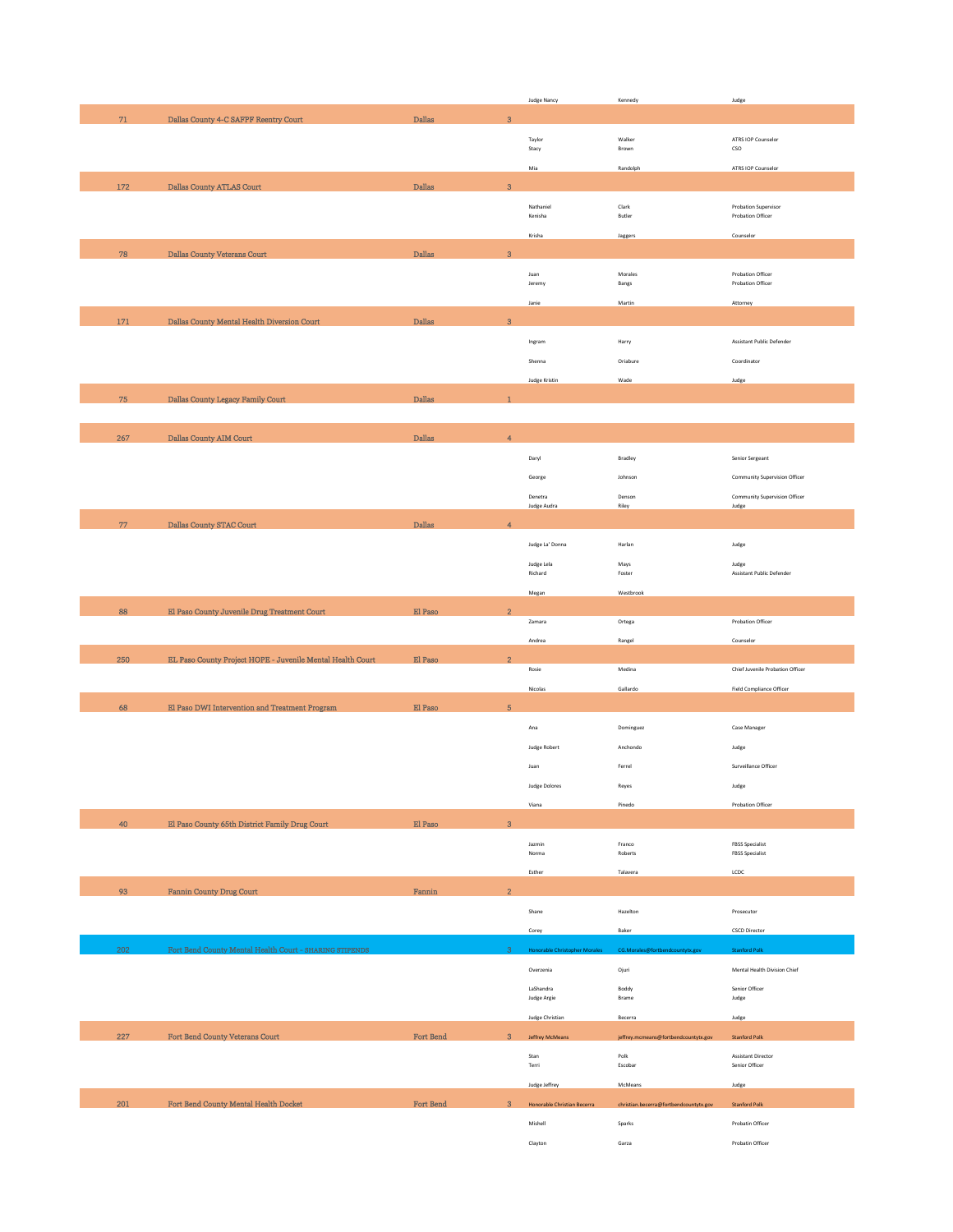| $71\,$ |                                                            |                              |                           | Judge Nancy                          | Kennedy                                | Judge                                            |
|--------|------------------------------------------------------------|------------------------------|---------------------------|--------------------------------------|----------------------------------------|--------------------------------------------------|
|        | Dallas County 4-C SAFPF Reentry Court                      | $\mathbf{Dallas}$            | $\overline{3}$            |                                      |                                        |                                                  |
|        |                                                            |                              |                           |                                      |                                        |                                                  |
|        |                                                            |                              |                           | Taylor<br>Stacy                      | Walker<br>Brown                        | ATRS IOP Counselor<br>$_{\mathsf{CSO}}$          |
|        |                                                            |                              |                           | Mia                                  | Randolph                               | ATRS IOP Counselor                               |
|        |                                                            |                              |                           |                                      |                                        |                                                  |
| 172    | Dallas County ATLAS Court                                  | $\mathbf{Dallas}$            | $\mathbf{3}$              |                                      |                                        |                                                  |
|        |                                                            |                              |                           | Nathaniel                            | Clark                                  | Probation Supervisor                             |
|        |                                                            |                              |                           | Kenisha                              | Butler                                 | Probation Officer                                |
|        |                                                            |                              |                           | Krisha                               | Jaggers                                | Counselor                                        |
| 78     | Dallas County Veterans Court                               | <b>Dallas</b>                | $\ensuremath{\mathbf{3}}$ |                                      |                                        |                                                  |
|        |                                                            |                              |                           | Juan                                 | Morales                                | Probation Officer                                |
|        |                                                            |                              |                           | Jeremy                               | Bangs                                  | Probation Officer                                |
|        |                                                            |                              |                           | Janie                                | Martin                                 | Attorney                                         |
| 171    | Dallas County Mental Health Diversion Court                | <b>Dallas</b>                | $\mathbf{3}$              |                                      |                                        |                                                  |
|        |                                                            |                              |                           |                                      |                                        |                                                  |
|        |                                                            |                              |                           | Ingram                               | Harry                                  | Assistant Public Defender                        |
|        |                                                            |                              |                           | Shenna                               | Oriabure                               | Coordinator                                      |
|        |                                                            |                              |                           | Judge Kristin                        | Wade                                   | Judge                                            |
| 75     | Dallas County Legacy Family Court                          | $\mathbf{Dallas}$            | $\mathbf{1}$              |                                      |                                        |                                                  |
|        |                                                            |                              |                           |                                      |                                        |                                                  |
|        |                                                            |                              |                           |                                      |                                        |                                                  |
| 267    | Dallas County AIM Court                                    | <b>Dallas</b>                | $\overline{4}$            |                                      |                                        |                                                  |
|        |                                                            |                              |                           | Daryl                                | Bradley                                | Senior Sergeant                                  |
|        |                                                            |                              |                           | George                               | Johnson                                | Community Supervision Officer                    |
|        |                                                            |                              |                           |                                      |                                        |                                                  |
|        |                                                            |                              |                           | Denetra<br>Judge Audra               | Denson<br>Riley                        | Community Supervision Officer<br>Judge           |
| 77     | Dallas County STAC Court                                   | $\mathbf{Dallas}$            | $\overline{4}$            |                                      |                                        |                                                  |
|        |                                                            |                              |                           |                                      |                                        |                                                  |
|        |                                                            |                              |                           | Judge La' Donna                      | Harlan                                 | Judge                                            |
|        |                                                            |                              |                           | Judge Lela                           | Mays                                   | Judge<br>Assistant Public Defender               |
|        |                                                            |                              |                           | Richard                              | Foster                                 |                                                  |
|        |                                                            |                              |                           | Megan                                | Westbrook                              |                                                  |
| 88     | El Paso County Juvenile Drug Treatment Court               | El Paso                      | $\overline{2}$            |                                      |                                        | Probation Officer                                |
|        |                                                            |                              |                           | Zamara                               | Ortega                                 |                                                  |
|        |                                                            |                              |                           | Andrea                               | Rangel                                 | Counselor                                        |
| 250    | EL Paso County Project HOPE - Juvenile Mental Health Court | El Paso                      | $\overline{2}$            | Rosie                                | Medina                                 | Chief Juvenile Probation Officer                 |
|        |                                                            |                              |                           |                                      |                                        |                                                  |
|        |                                                            |                              |                           | Nicolas                              | Gallardo                               | <b>Field Compliance Officer</b>                  |
| 68     | El Paso DWI Intervention and Treatment Program             | El Paso                      | $\sqrt{5}$                |                                      |                                        |                                                  |
|        |                                                            |                              |                           | Ana                                  | Dominguez                              | Case Manager                                     |
|        |                                                            |                              |                           | <b>Judge Robert</b>                  | Anchondo                               | Judge                                            |
|        |                                                            |                              |                           |                                      |                                        |                                                  |
|        |                                                            |                              |                           | Juan                                 | Ferrel                                 | Surveillance Officer                             |
|        |                                                            |                              |                           | <b>Judge Dolores</b>                 | Reyes                                  | Judge                                            |
|        |                                                            |                              |                           | Viana                                | Pinedo                                 | Probation Officer                                |
|        | El Paso County 65th District Family Drug Court             | $\mathbb{E} \mathbb{I}$ Paso |                           |                                      |                                        |                                                  |
| 40     |                                                            |                              | $\mathbf{3}$              |                                      |                                        |                                                  |
|        |                                                            |                              |                           |                                      |                                        |                                                  |
|        |                                                            |                              |                           | Jazmin<br>Norma                      | Franco<br>Roberts                      | <b>FBSS Specialist</b><br><b>FBSS Specialist</b> |
|        |                                                            |                              |                           | Esther                               | Talavera                               | LCDC                                             |
|        |                                                            |                              | $\overline{2}$            |                                      |                                        |                                                  |
| 93     | <b>Fannin County Drug Court</b>                            | Fannin                       |                           |                                      |                                        |                                                  |
|        |                                                            |                              |                           | Shane                                | Hazelton                               | Prosecutor                                       |
|        |                                                            |                              |                           | Corey                                | Baker                                  | <b>CSCD Director</b>                             |
| 202    | Fort Bend County Mental Health Court - SHARING STIPENDS    |                              | $\overline{3}$            | <b>Honorable Christopher Morales</b> | CG.Morales@fortbendcountytx.gov        | <b>Stanford Polk</b>                             |
|        |                                                            |                              |                           | Overzenia                            | Ojuri                                  | Mental Health Division Chief                     |
|        |                                                            |                              |                           |                                      |                                        |                                                  |
|        |                                                            |                              |                           | LaShandra<br>Judge Argie             | Boddy<br>Brame                         | Senior Officer<br>Judge                          |
|        |                                                            |                              |                           |                                      | Becerra                                |                                                  |
|        |                                                            |                              |                           | Judge Christian                      |                                        | Judge                                            |
| 227    | Fort Bend County Veterans Court                            | Fort Bend                    | $\mathbf{3}$              | Jeffrey McMeans                      | jeffrey.mcmeans@fortbendcountytx.gov   | <b>Stanford Polk</b>                             |
|        |                                                            |                              |                           | Stan                                 | Polk                                   | <b>Assistant Director</b>                        |
|        |                                                            |                              |                           | Terri                                | Escobar                                | Senior Officer                                   |
|        |                                                            |                              |                           | Judge Jeffrey                        | McMeans                                | Judge                                            |
| 201    | Fort Bend County Mental Health Docket                      | Fort Bend                    | $\mathbf{3}$              | Honorable Christian Becerra          | christian.becerra@fortbendcountytx.gov | <b>Stanford Polk</b>                             |
|        |                                                            |                              |                           | Mishell                              | Sparks                                 | Probatin Officer                                 |
|        |                                                            |                              |                           | Clayton                              | Garza                                  | Probatin Officer                                 |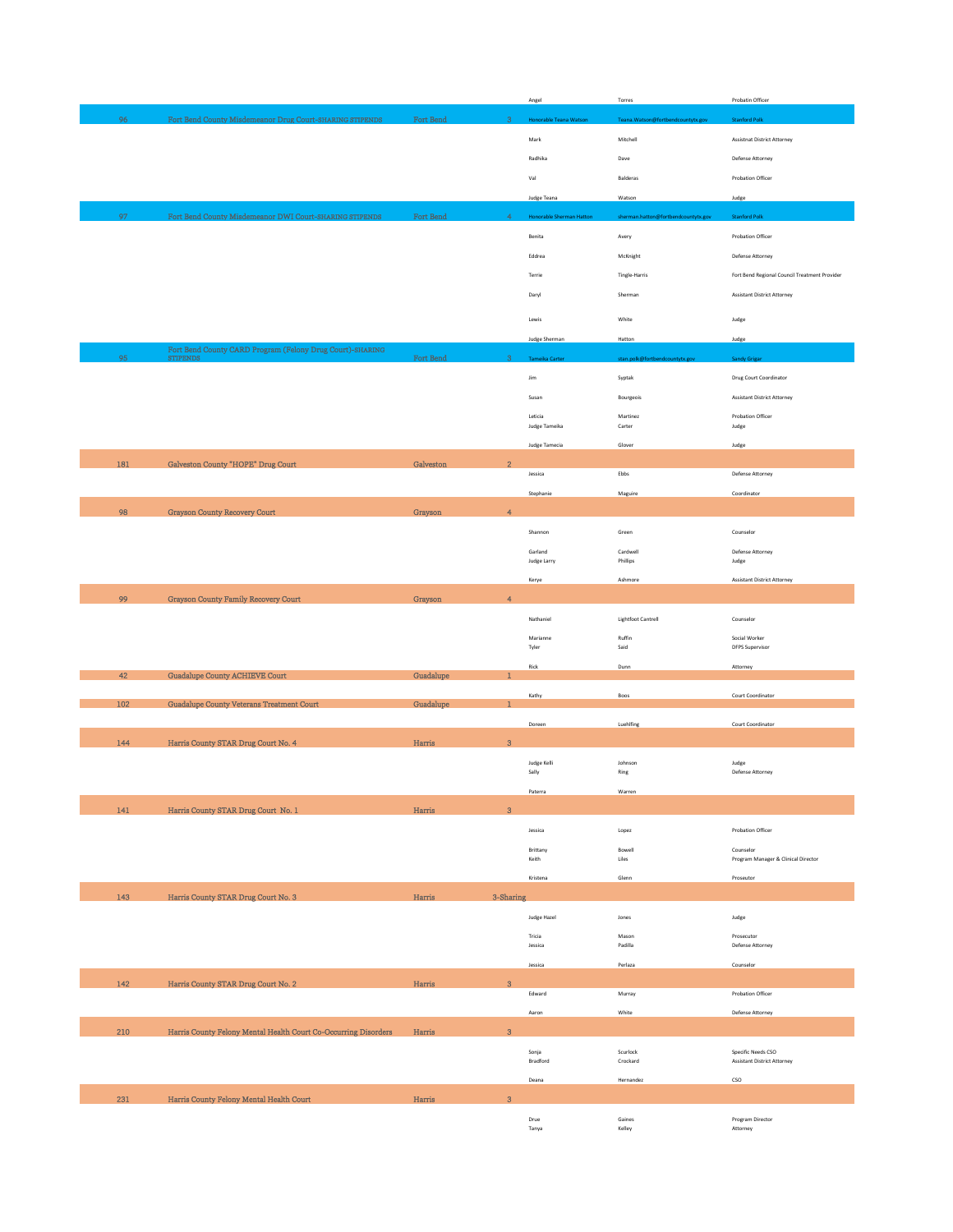|     |                                                                              |           |                          | Angel                           | Torres                              | Probatin Officer                                         |
|-----|------------------------------------------------------------------------------|-----------|--------------------------|---------------------------------|-------------------------------------|----------------------------------------------------------|
| 96  | Fort Bend County Misdemeanor Drug Court-SHARING STIPENDS                     | Fort Bend | $\overline{3}$           | <b>Honorable Teana Watson</b>   | Teana.Watson@fortbendcountytx.gov   | <b>Stanford Polk</b>                                     |
|     |                                                                              |           |                          | Mark                            | Mitchell                            | Assistnat District Attorney                              |
|     |                                                                              |           |                          |                                 |                                     |                                                          |
|     |                                                                              |           |                          | Radhika                         | Dave                                | Defense Attorney                                         |
|     |                                                                              |           |                          | Val                             | Balderas                            | Probation Officer                                        |
|     |                                                                              |           |                          | Judge Teana                     | Watson                              | Judge                                                    |
| 97  | Fort Bend County Misdemeanor DWI Court-SHARING STIPENDS                      | Fort Bend | 4                        | <b>Honorable Sherman Hatton</b> | sherman.hatton@fortbendcountytx.gov | <b>Stanford Polk</b>                                     |
|     |                                                                              |           |                          | Benita                          | Avery                               | Probation Officer                                        |
|     |                                                                              |           |                          | Eddrea                          | McKnight                            | Defense Attorney                                         |
|     |                                                                              |           |                          | Terrie                          | Tingle-Harris                       | Fort Bend Regional Council Treatment Provider            |
|     |                                                                              |           |                          | Daryl                           | Sherman                             | Assistant District Attorney                              |
|     |                                                                              |           |                          |                                 |                                     |                                                          |
|     |                                                                              |           |                          | Lewis                           | White                               | Judge                                                    |
|     |                                                                              |           |                          | Judge Sherman                   | Hatton                              | Judge                                                    |
| 95  | Fort Bend County CARD Program (Felony Drug Court)-SHARING<br><b>STIPENDS</b> | Fort Bend | 3                        | eika Carter<br>Tam              | stan.polk@fortbendcountytx.gov      | Sandy Grigar                                             |
|     |                                                                              |           |                          | Jim                             | Syptak                              | Drug Court Coordinator                                   |
|     |                                                                              |           |                          | Susan                           | Bourgeois                           | <b>Assistant District Attorney</b>                       |
|     |                                                                              |           |                          | Leticia                         | Martinez                            | Probation Officer                                        |
|     |                                                                              |           |                          | Judge Tameika                   | Carter                              | Judge                                                    |
|     |                                                                              |           |                          | Judge Tamecia                   | Glover                              | Judge                                                    |
| 181 | Galveston County "HOPE" Drug Court                                           | Galveston | $\overline{2}$           | Jessica                         | Ebbs                                | Defense Attorney                                         |
|     |                                                                              |           |                          |                                 |                                     |                                                          |
|     |                                                                              |           |                          | Stephanie                       | Maguire                             | Coordinator                                              |
| 98  | Grayson County Recovery Court                                                | Grayson   | $\overline{4}$           |                                 |                                     |                                                          |
|     |                                                                              |           |                          | Shannon                         | Green                               | Counselor                                                |
|     |                                                                              |           |                          | Garland<br>Judge Larry          | Cardwell<br>Phillips                | Defense Attorney<br>Judge                                |
|     |                                                                              |           |                          |                                 |                                     |                                                          |
|     |                                                                              |           |                          | Kerye                           | Ashmore                             | <b>Assistant District Attorney</b>                       |
| 99  | Grayson County Family Recovery Court                                         | Grayson   | $\overline{\mathcal{A}}$ |                                 |                                     |                                                          |
|     |                                                                              |           |                          | Nathaniel                       | <b>Lightfoot Cantrell</b>           | Counselor                                                |
|     |                                                                              |           |                          | Marianne<br>Tyler               | Ruffin<br>Said                      | Social Worker<br>DFPS Supervisor                         |
|     |                                                                              |           |                          | Rick                            | Dunn                                | Attorney                                                 |
| 42  | <b>Guadalupe County ACHIEVE Court</b>                                        | Guadalupe |                          |                                 |                                     |                                                          |
| 102 | <b>Guadalupe County Veterans Treatment Court</b>                             | Guadalupe | 1                        | Kathy                           | Boos                                | Court Coordinator                                        |
|     |                                                                              |           |                          |                                 | Luehlfing                           |                                                          |
|     |                                                                              |           |                          | Doreen                          |                                     | Court Coordinator                                        |
| 144 | Harris County STAR Drug Court No. 4                                          | Harris    | $\bf 3$                  |                                 |                                     |                                                          |
|     |                                                                              |           |                          |                                 |                                     |                                                          |
|     |                                                                              |           |                          | Judge Kelli<br>Sally            | Johnson<br>$\mathsf{Ring}$          | Judge<br>Defense Attorney                                |
|     |                                                                              |           |                          | Paterra                         | Warren                              |                                                          |
|     |                                                                              |           | $\overline{3}$           |                                 |                                     |                                                          |
| 141 | Harris County STAR Drug Court No. 1                                          | Harris    |                          |                                 |                                     |                                                          |
|     |                                                                              |           |                          | Jessica                         | Lopez                               | Probation Officer                                        |
|     |                                                                              |           |                          | Brittany<br>Keith               | Bowell<br>Liles                     | Counselor<br>Program Manager & Clinical Director         |
|     |                                                                              |           |                          | Kristena                        | Glenn                               | Proseutor                                                |
| 143 | Harris County STAR Drug Court No. 3                                          | Harris    | 3-Sharing                |                                 |                                     |                                                          |
|     |                                                                              |           |                          | Judge Hazel                     | Jones                               | Judge                                                    |
|     |                                                                              |           |                          |                                 |                                     |                                                          |
|     |                                                                              |           |                          | Tricia<br>Jessica               | Mason<br>Padilla                    | Prosecutor<br>Defense Attorney                           |
|     |                                                                              |           |                          | Jessica                         | Perlaza                             | Counselor                                                |
| 142 | Harris County STAR Drug Court No. 2                                          | Harris    | 3                        |                                 |                                     |                                                          |
|     |                                                                              |           |                          | Edward                          | Murray                              | Probation Officer                                        |
|     |                                                                              |           |                          | Aaron                           | White                               | Defense Attorney                                         |
| 210 | Harris County Felony Mental Health Court Co-Occurring Disorders              | Harris    | $\bf{3}$                 |                                 |                                     |                                                          |
|     |                                                                              |           |                          | Sonja<br>Bradford               | Scurlock<br>Crockard                | Specific Needs CSO<br><b>Assistant District Attorney</b> |
|     |                                                                              |           |                          | Deana                           | Hernandez                           | $\mathsf{cso}\xspace$                                    |
| 231 |                                                                              |           | $\overline{\mathbf{3}}$  |                                 |                                     |                                                          |
|     | Harris County Felony Mental Health Court                                     | Harris    |                          | Drue                            | Gaines                              | Program Director                                         |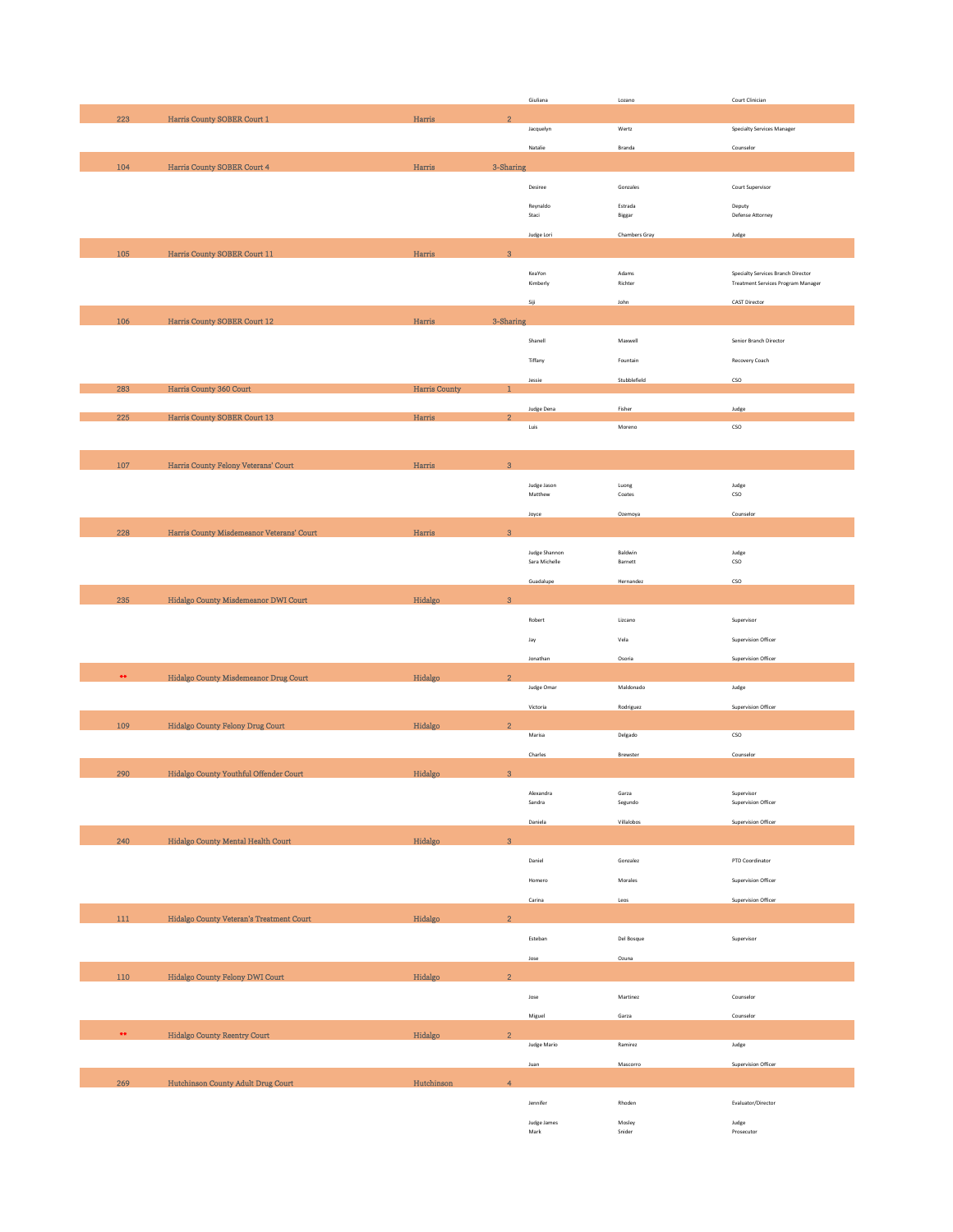|                  |                                           |               |                         | Giuliana                    | Lozano               | Court Clinician                           |
|------------------|-------------------------------------------|---------------|-------------------------|-----------------------------|----------------------|-------------------------------------------|
| 223              | Harris County SOBER Court 1               | Harris        | $\overline{2}$          |                             |                      |                                           |
|                  |                                           |               |                         | Jacquelyn                   | Wertz                | Specialty Services Manager                |
|                  |                                           |               |                         |                             |                      |                                           |
|                  |                                           |               |                         | Natalie                     | Branda               | Counselor                                 |
| 104              | Harris County SOBER Court 4               | Harris        | 3-Sharing               |                             |                      |                                           |
|                  |                                           |               |                         | Desiree                     | Gonzales             | Court Supervisor                          |
|                  |                                           |               |                         |                             |                      |                                           |
|                  |                                           |               |                         | Reynaldo                    | Estrada              | Deputy                                    |
|                  |                                           |               |                         | Staci                       | Biggar               | Defense Attorney                          |
|                  |                                           |               |                         | Judge Lori                  | <b>Chambers Gray</b> | Judge                                     |
| 105              | Harris County SOBER Court 11              | Harris        | $\bf{3}$                |                             |                      |                                           |
|                  |                                           |               |                         |                             |                      |                                           |
|                  |                                           |               |                         | KeaYon                      | Adams                | Specialty Services Branch Director        |
|                  |                                           |               |                         | Kimberly                    | Richter              | <b>Treatment Services Program Manager</b> |
|                  |                                           |               |                         | Siji                        | John                 | <b>CAST Director</b>                      |
|                  |                                           |               |                         |                             |                      |                                           |
| 106              | Harris County SOBER Court 12              | Harris        | 3-Sharing               |                             |                      |                                           |
|                  |                                           |               |                         | Shanell                     | Maxwell              | Senior Branch Director                    |
|                  |                                           |               |                         |                             |                      |                                           |
|                  |                                           |               |                         | Tiffany                     | Fountain             | Recovery Coach                            |
|                  |                                           |               |                         | Jessie                      | Stubblefield         | $\mathsf{cso}\xspace$                     |
| 283              | Harris County 360 Court                   | Harris County | $\mathbf 1$             |                             |                      |                                           |
|                  |                                           |               |                         | Judge Dena                  | Fisher               | Judge                                     |
| 225              | Harris County SOBER Court 13              | Harris        | $\overline{2}$          |                             |                      |                                           |
|                  |                                           |               |                         | Luis                        | Moreno               | $_{\mathsf{CSO}}$                         |
|                  |                                           |               |                         |                             |                      |                                           |
| 107              | Harris County Felony Veterans' Court      | Harris        | $\mathbf{3}$            |                             |                      |                                           |
|                  |                                           |               |                         |                             |                      |                                           |
|                  |                                           |               |                         | Judge Jason                 | Luong                | Judge                                     |
|                  |                                           |               |                         | Matthew                     | Coates               | $_{\mathsf{CSO}}$                         |
|                  |                                           |               |                         | Joyce                       | Ozemoya              | Counselor                                 |
| 228              |                                           |               | $\overline{3}$          |                             |                      |                                           |
|                  | Harris County Misdemeanor Veterans' Court | Harris        |                         |                             |                      |                                           |
|                  |                                           |               |                         | Judge Shannon               | Baldwin              | Judge                                     |
|                  |                                           |               |                         | Sara Michelle               | Barnett              | $_{\mathsf{CSO}}$                         |
|                  |                                           |               |                         | Guadalupe                   | Hernandez            | $_{\mathsf{CSO}}$                         |
|                  |                                           |               | $\mathbf{3}$            |                             |                      |                                           |
| 235              | Hidalgo County Misdemeanor DWI Court      | Hidalgo       |                         |                             |                      |                                           |
|                  |                                           |               |                         | Robert                      | Lizcano              | Supervisor                                |
|                  |                                           |               |                         | Jay                         | Vela                 | Supervision Officer                       |
|                  |                                           |               |                         |                             |                      |                                           |
|                  |                                           |               |                         | Jonathan                    | Osoria               | Supervision Officer                       |
| $\bullet\bullet$ | Hidalgo County Misdemeanor Drug Court     | Hidalgo       | $\overline{2}$          |                             |                      |                                           |
|                  |                                           |               |                         | Judge Omar                  | Maldonado            | Judge                                     |
|                  |                                           |               |                         | Victoria                    | Rodriguez            | <b>Supervision Officer</b>                |
|                  |                                           |               |                         |                             |                      |                                           |
| 109              | Hidalgo County Felony Drug Court          | Hidalgo       | $\overline{2}$          |                             |                      |                                           |
|                  |                                           |               |                         | Marisa                      | Delgado              | cso                                       |
|                  |                                           |               |                         | Charles                     | Brewster             | Counselor                                 |
| 290              | Hidalgo County Youthful Offender Court    | Hidalgo       | $\sqrt{3}$              |                             |                      |                                           |
|                  |                                           |               |                         |                             |                      |                                           |
|                  |                                           |               |                         | Alexandra                   | Garza                | Supervisor                                |
|                  |                                           |               |                         | Sandra                      | Segundo              | Supervision Officer                       |
|                  |                                           |               |                         | Daniela                     | Villalobos           | Supervision Officer                       |
| 240              | Hidalgo County Mental Health Court        | Hidalgo       | $\overline{\mathbf{3}}$ |                             |                      |                                           |
|                  |                                           |               |                         |                             |                      |                                           |
|                  |                                           |               |                         | Daniel                      | Gonzalez             | PTD Coordinator                           |
|                  |                                           |               |                         | Homero                      | Morales              | Supervision Officer                       |
|                  |                                           |               |                         |                             |                      |                                           |
|                  |                                           |               |                         | Carina                      | Leos                 | Supervision Officer                       |
| 111              | Hidalgo County Veteran's Treatment Court  | Hidalgo       | $\overline{2}$          |                             |                      |                                           |
|                  |                                           |               |                         |                             |                      |                                           |
|                  |                                           |               |                         | Esteban                     | Del Bosque           | Supervisor                                |
|                  |                                           |               |                         | Jose                        | Ozuna                |                                           |
|                  |                                           |               |                         |                             |                      |                                           |
| 110              | Hidalgo County Felony DWI Court           | Hidalgo       | $\overline{2}$          |                             |                      |                                           |
|                  |                                           |               |                         | Jose                        | Martinez             | Counselor                                 |
|                  |                                           |               |                         |                             |                      |                                           |
|                  |                                           |               |                         | Miguel                      | Garza                | Counselor                                 |
| $\bullet\bullet$ | <b>Hidalgo County Reentry Court</b>       | Hidalgo       | $\overline{2}$          |                             |                      |                                           |
|                  |                                           |               |                         | Judge Mario                 | Ramirez              | Judge                                     |
|                  |                                           |               |                         | Juan                        | Mascorro             | Supervision Officer                       |
|                  |                                           |               |                         |                             |                      |                                           |
| 269              | Hutchinson County Adult Drug Court        | Hutchinson    | $\overline{4}$          |                             |                      |                                           |
|                  |                                           |               |                         | Jennifer                    | Rhoden               | Evaluator/Director                        |
|                  |                                           |               |                         |                             |                      |                                           |
|                  |                                           |               |                         | Judge James<br>${\sf Mark}$ | Mosley<br>Snider     | Judge<br>Prosecutor                       |
|                  |                                           |               |                         |                             |                      |                                           |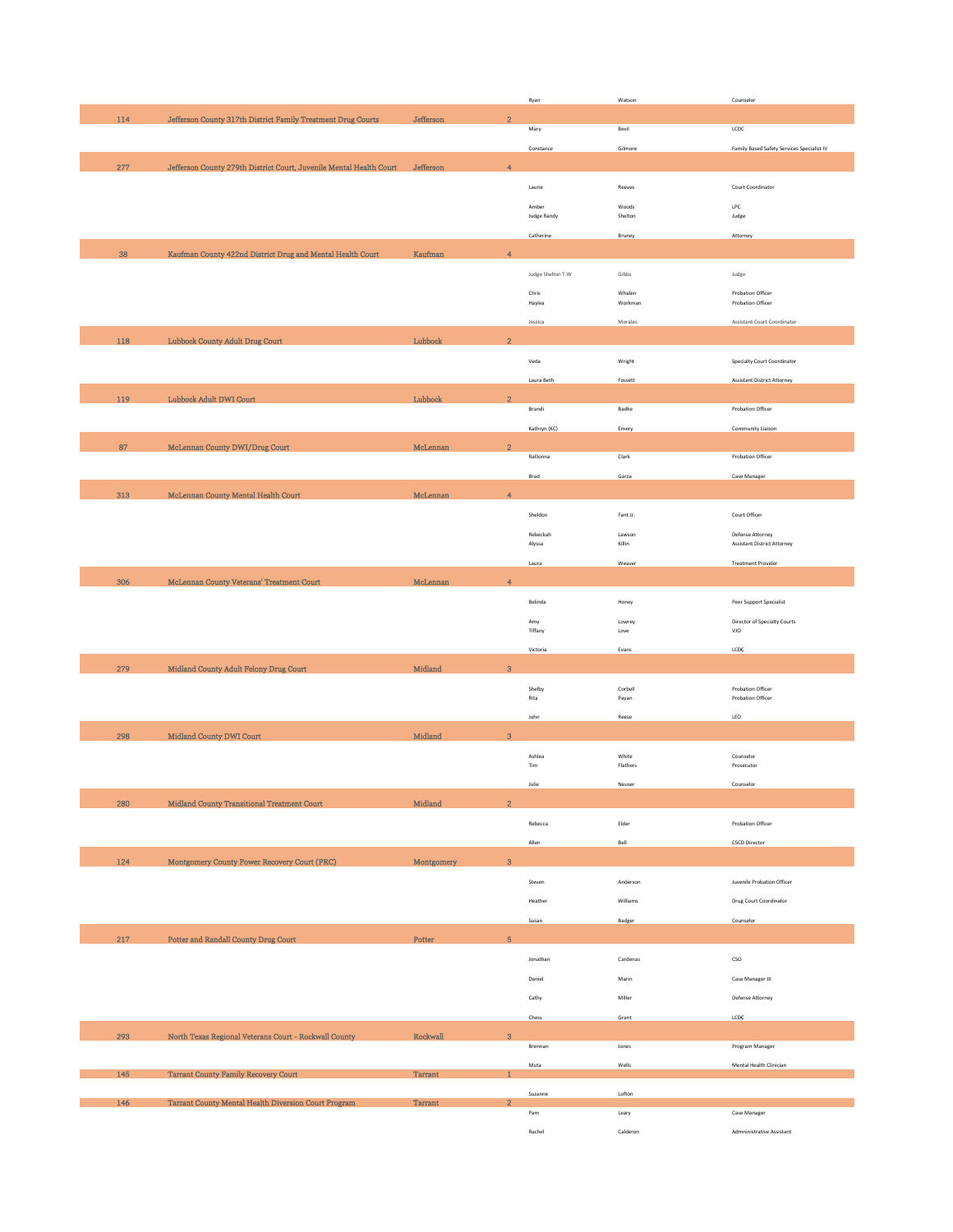|     |                                                                     |                |                           | Ryan                        | Watson            | Counselor                                  |
|-----|---------------------------------------------------------------------|----------------|---------------------------|-----------------------------|-------------------|--------------------------------------------|
| 114 | Jefferson County 317th District Family Treatment Drug Courts        | Jefferson      | $\overline{2}$            |                             |                   |                                            |
|     |                                                                     |                |                           | Mary                        | Bevil             | $\ensuremath{\mathsf{LCDC}}$               |
|     |                                                                     |                |                           | Constance                   | Gilmore           | Family Based Safety Services Specialist IV |
| 277 | Jefferson County 279th District Court, Juvenile Mental Health Court | Jefferson      | $\overline{4}$            |                             |                   |                                            |
|     |                                                                     |                |                           | Laurie                      | Reeves            | Court Coordinator                          |
|     |                                                                     |                |                           |                             |                   |                                            |
|     |                                                                     |                |                           | Amber<br><b>Judge Randy</b> | Woods<br>Shelton  | LPC<br>Judge                               |
|     |                                                                     |                |                           | Catherine                   | Bruney            | Attorney                                   |
|     |                                                                     |                |                           |                             |                   |                                            |
| 38  | Kaufman County 422nd District Drug and Mental Health Court          | Kaufman        | $\overline{4}$            |                             |                   |                                            |
|     |                                                                     |                |                           | Judge Shelton T.W           | Gibbs             | Judge                                      |
|     |                                                                     |                |                           | Chris                       | Whalen            | Probation Officer                          |
|     |                                                                     |                |                           | Haylea                      | Workman           | Probation Officer                          |
|     |                                                                     |                |                           | Jessica                     | Morales           | <b>Assistant Court Coordinator</b>         |
| 118 | Lubbock County Adult Drug Court                                     | Lubbock        | $\overline{2}$            |                             |                   |                                            |
|     |                                                                     |                |                           | Veda                        | Wright            | Specialty Court Coordinator                |
|     |                                                                     |                |                           | Laura Beth                  | Fossett           | <b>Assistant District Attorney</b>         |
|     |                                                                     |                |                           |                             |                   |                                            |
| 119 | Lubbock Adult DWI Court                                             | Lubbock        | $\overline{2}$            | Brandi                      | Badke             | Probation Officer                          |
|     |                                                                     |                |                           | Kathryn (KC)                | Emery             | Community Liaison                          |
|     |                                                                     |                |                           |                             |                   |                                            |
| 87  | McLennan County DWI/Drug Court                                      | McLennan       | $\overline{2}$            | RaDonna                     | Clark             | Probation Officer                          |
|     |                                                                     |                |                           |                             |                   |                                            |
|     |                                                                     |                |                           | Brad                        | Garza             | Case Manager                               |
| 313 | McLennan County Mental Health Court                                 | McLennan       | $\overline{4}$            |                             |                   |                                            |
|     |                                                                     |                |                           | Sheldon                     | Fant Jr.          | Court Officer                              |
|     |                                                                     |                |                           | Rebeckah                    | Lawson            | Defense Attorney                           |
|     |                                                                     |                |                           | Alyssa                      | Killin            | Assistant District Attorney                |
|     |                                                                     |                |                           | Laura                       | Weaver            | <b>Treatment Provider</b>                  |
| 306 | McLennan County Veterans' Treatment Court                           | McLennan       | $\overline{4}$            |                             |                   |                                            |
|     |                                                                     |                |                           | Belinda                     | Honey             | Peer Support Specialist                    |
|     |                                                                     |                |                           |                             |                   |                                            |
|     |                                                                     |                |                           | Amy<br>Tiffany              | Lowrey<br>Love    | Director of Specialty Courts<br>VJO        |
|     |                                                                     |                |                           | Victoria                    | Evans             | LCDC                                       |
| 279 | Midland County Adult Felony Drug Court                              | Midland        | $\ensuremath{\mathbf{3}}$ |                             |                   |                                            |
|     |                                                                     |                |                           |                             |                   |                                            |
|     |                                                                     |                |                           | Shelby<br>$\mathsf{R}$      | Corbell<br>Payan  | Probation Officer<br>Probation Officer     |
|     |                                                                     |                |                           | John                        | Reese             | LEO                                        |
|     |                                                                     |                |                           |                             |                   |                                            |
| 298 | Midland County DWI Court                                            | Midland        | 3                         |                             |                   |                                            |
|     |                                                                     |                |                           | Ashlea<br>Tim               | White<br>Flathers | Counselor<br>Prosecutor                    |
|     |                                                                     |                |                           |                             |                   |                                            |
|     |                                                                     |                |                           | Julie                       | Neuser            | Counselor                                  |
| 280 | Midland County Transitional Treatment Court                         | Midland        | $\overline{2}$            |                             |                   |                                            |
|     |                                                                     |                |                           | Rebecca                     | Elder             | Probation Officer                          |
|     |                                                                     |                |                           | Allen                       | Bell              | <b>CSCD Director</b>                       |
| 124 | Montgomery County Power Recovery Court (PRC)                        | Montgomery     | $\mathbf{3}$              |                             |                   |                                            |
|     |                                                                     |                |                           |                             |                   |                                            |
|     |                                                                     |                |                           | Steven                      | Anderson          | Juvenile Probation Officer                 |
|     |                                                                     |                |                           | Heather                     | Williams          | Drug Court Coordinator                     |
|     |                                                                     |                |                           | Susan                       | Badger            | Counselor                                  |
| 217 | Potter and Randall County Drug Court                                | Potter         | $\overline{5}$            |                             |                   |                                            |
|     |                                                                     |                |                           | Jonathan                    | Cardenas          | $_{\mathsf{CSO}}$                          |
|     |                                                                     |                |                           |                             |                   |                                            |
|     |                                                                     |                |                           | Daniel                      | Marin             | Case Manager III                           |
|     |                                                                     |                |                           | Cathy                       | Miller            | Defense Attorney                           |
|     |                                                                     |                |                           | Chess                       | Grant             | LCDC                                       |
| 293 | North Texas Regional Veterans Court - Rockwall County               | Rockwall       | $\bf{3}$                  |                             |                   |                                            |
|     |                                                                     |                |                           | Brennan                     | Jones             | Program Manager                            |
| 145 | <b>Tarrant County Family Recovery Court</b>                         | <b>Tarrant</b> | $\mathbf{1}$              | Muta                        | Wells             | Mental Health Clinician                    |
|     |                                                                     |                |                           |                             |                   |                                            |
| 146 | Tarrant County Mental Health Diversion Court Program                | Tarrant        | $\overline{2}$            | Suzanne                     | Lofton            |                                            |
|     |                                                                     |                |                           | Pam                         | Leary             | Case Manager                               |
|     |                                                                     |                |                           | Rachel                      | Calderon          | Admninistrative Assistant                  |